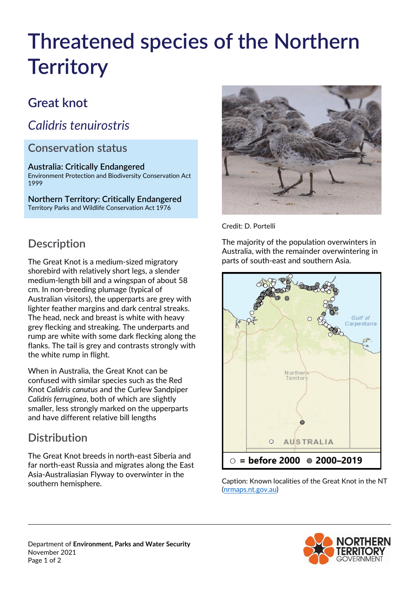# **Threatened species of the Northern Territory**

# **Great knot**

# *Calidris tenuirostris*

#### **Conservation status**

#### **Australia: Critically Endangered** Environment Protection and Biodiversity Conservation Act 1999

**Northern Territory: Critically Endangered** Territory Parks and Wildlife Conservation Act 1976



Credit: D. Portelli

The majority of the population overwinters in Australia, with the remainder overwintering in parts of south-east and southern Asia.



Caption: Known localities of the Great Knot in the NT [\(nrmaps.nt.gov.au\)](https://nrmaps.nt.gov.au/nrmaps.html)





#### **Description**

The Great Knot is a medium-sized migratory shorebird with relatively short legs, a slender medium-length bill and a wingspan of about 58 cm. In non-breeding plumage (typical of Australian visitors), the upperparts are grey with lighter feather margins and dark central streaks. The head, neck and breast is white with heavy grey flecking and streaking. The underparts and rump are white with some dark flecking along the flanks. The tail is grey and contrasts strongly with the white rump in flight.

When in Australia, the Great Knot can be confused with similar species such as the Red Knot *Calidris canutus* and the Curlew Sandpiper *Calidris ferruginea*, both of which are slightly smaller, less strongly marked on the upperparts and have different relative bill lengths

# **Distribution**

The Great Knot breeds in north-east Siberia and far north-east Russia and migrates along the East Asia-Australiasian Flyway to overwinter in the southern hemisphere.